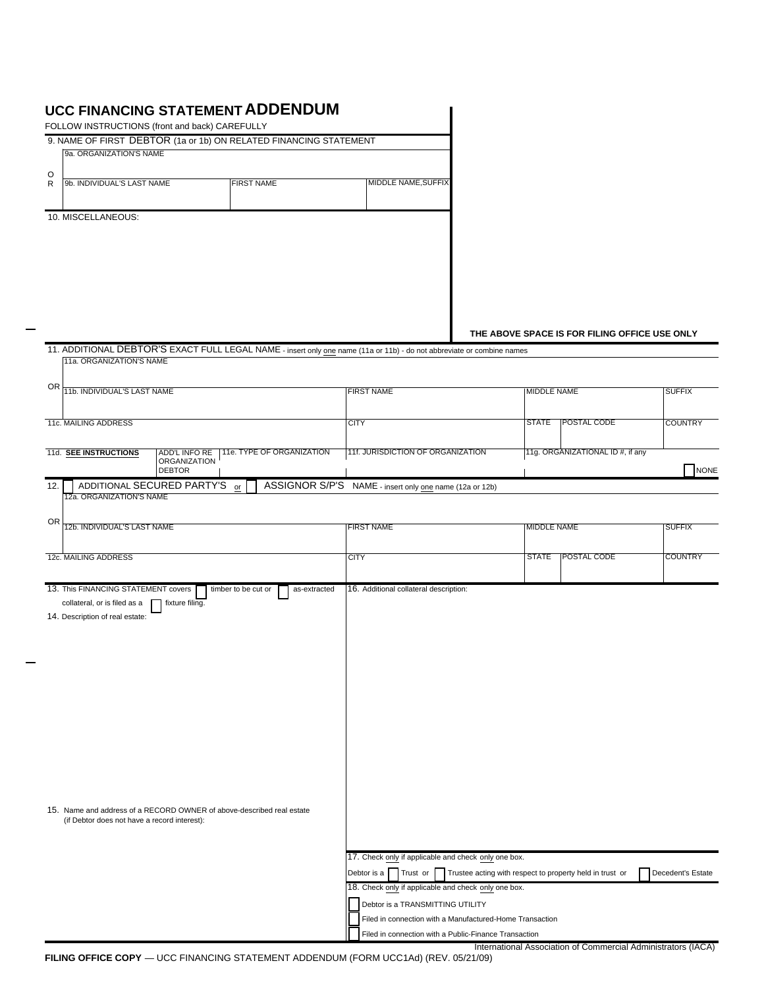## **UCC FINANCING STATEMENT ADDENDUM**

|                                                                     | FOLLOW INSTRUCTIONS (front and back) CAREFULLY |                                                                                                                        |                                                                                                                   |                    |                                               |                 |
|---------------------------------------------------------------------|------------------------------------------------|------------------------------------------------------------------------------------------------------------------------|-------------------------------------------------------------------------------------------------------------------|--------------------|-----------------------------------------------|-----------------|
| 9a. ORGANIZATION'S NAME                                             |                                                | 9. NAME OF FIRST DEBTOR (1a or 1b) ON RELATED FINANCING STATEMENT                                                      |                                                                                                                   |                    |                                               |                 |
|                                                                     |                                                |                                                                                                                        |                                                                                                                   |                    |                                               |                 |
| O<br>9b. INDIVIDUAL'S LAST NAME<br>$\mathsf{R}$                     |                                                | <b>FIRST NAME</b>                                                                                                      | MIDDLE NAME, SUFFIX                                                                                               |                    |                                               |                 |
| 10. MISCELLANEOUS:                                                  |                                                |                                                                                                                        |                                                                                                                   |                    |                                               |                 |
|                                                                     |                                                |                                                                                                                        |                                                                                                                   |                    |                                               |                 |
|                                                                     |                                                |                                                                                                                        |                                                                                                                   |                    |                                               |                 |
|                                                                     |                                                |                                                                                                                        |                                                                                                                   |                    |                                               |                 |
|                                                                     |                                                |                                                                                                                        |                                                                                                                   |                    | THE ABOVE SPACE IS FOR FILING OFFICE USE ONLY |                 |
| 11a. ORGANIZATION'S NAME                                            |                                                | 11. ADDITIONAL DEBTOR'S EXACT FULL LEGAL NAME - insert only one name (11a or 11b) - do not abbreviate or combine names |                                                                                                                   |                    |                                               |                 |
| 0R                                                                  |                                                |                                                                                                                        | <b>FIRST NAME</b>                                                                                                 |                    | <b>MIDDLE NAME</b>                            | <b>SUFFIX</b>   |
| 11b. INDIVIDUAL'S LAST NAME                                         |                                                |                                                                                                                        |                                                                                                                   |                    |                                               |                 |
| <b>11c. MAILING ADDRESS</b>                                         |                                                |                                                                                                                        | <b>CITY</b>                                                                                                       | <b>STATE</b>       | <b>POSTAL CODE</b>                            | <b>COUNTRY</b>  |
| 11d. SEE INSTRUCTIONS                                               | <b>ADD'L INFO RE</b><br><b>ORGANIZATION</b>    | 11e. TYPE OF ORGANIZATION                                                                                              | 11f. JURISDICTION OF ORGANIZATION                                                                                 |                    | 11g. ORGANIZATIONAL ID #, if any              |                 |
| 12.                                                                 | <b>DEBTOR</b><br>ADDITIONAL SECURED PARTY'S or |                                                                                                                        | ASSIGNOR S/P'S NAME - insert only one name (12a or 12b)                                                           |                    |                                               | N0              |
| 12a. ORGANIZATION'S NAME                                            |                                                |                                                                                                                        |                                                                                                                   |                    |                                               |                 |
| <b>OR</b><br>12b. INDIVIDUAL'S LAST NAME                            |                                                |                                                                                                                        | <b>FIRST NAME</b>                                                                                                 | <b>MIDDLE NAME</b> |                                               | <b>SUFFIX</b>   |
| 12c. MAILING ADDRESS                                                |                                                |                                                                                                                        | <b>CITY</b>                                                                                                       | <b>STATE</b>       | <b>POSTAL CODE</b>                            | <b>COUNTRY</b>  |
|                                                                     |                                                |                                                                                                                        |                                                                                                                   |                    |                                               |                 |
| 13. This FINANCING STATEMENT covers<br>collateral, or is filed as a | fixture filing.                                | timber to be cut or<br>as-extracted                                                                                    | 16. Additional collateral description:                                                                            |                    |                                               |                 |
| 14. Description of real estate:                                     |                                                |                                                                                                                        |                                                                                                                   |                    |                                               |                 |
|                                                                     |                                                |                                                                                                                        |                                                                                                                   |                    |                                               |                 |
|                                                                     |                                                |                                                                                                                        |                                                                                                                   |                    |                                               |                 |
|                                                                     |                                                |                                                                                                                        |                                                                                                                   |                    |                                               |                 |
|                                                                     |                                                |                                                                                                                        |                                                                                                                   |                    |                                               |                 |
|                                                                     |                                                |                                                                                                                        |                                                                                                                   |                    |                                               |                 |
|                                                                     |                                                |                                                                                                                        |                                                                                                                   |                    |                                               |                 |
|                                                                     |                                                |                                                                                                                        |                                                                                                                   |                    |                                               |                 |
|                                                                     |                                                |                                                                                                                        |                                                                                                                   |                    |                                               |                 |
|                                                                     |                                                |                                                                                                                        |                                                                                                                   |                    |                                               |                 |
|                                                                     | (if Debtor does not have a record interest):   | 15. Name and address of a RECORD OWNER of above-described real estate                                                  |                                                                                                                   |                    |                                               |                 |
|                                                                     |                                                |                                                                                                                        | 17. Check only if applicable and check only one box.                                                              |                    |                                               |                 |
|                                                                     |                                                |                                                                                                                        | Debtor is a     Trust or     Trustee acting with respect to property held in trust or                             |                    |                                               | Decedent's Esta |
|                                                                     |                                                |                                                                                                                        | 18. Check only if applicable and check only one box.                                                              |                    |                                               |                 |
|                                                                     |                                                |                                                                                                                        | Debtor is a TRANSMITTING UTILITY                                                                                  |                    |                                               |                 |
|                                                                     |                                                |                                                                                                                        | Filed in connection with a Manufactured-Home Transaction<br>Filed in connection with a Public-Finance Transaction |                    |                                               |                 |
|                                                                     |                                                |                                                                                                                        |                                                                                                                   |                    |                                               |                 |

 $\overline{\phantom{a}}$ 

NONE

Decedent's Estate